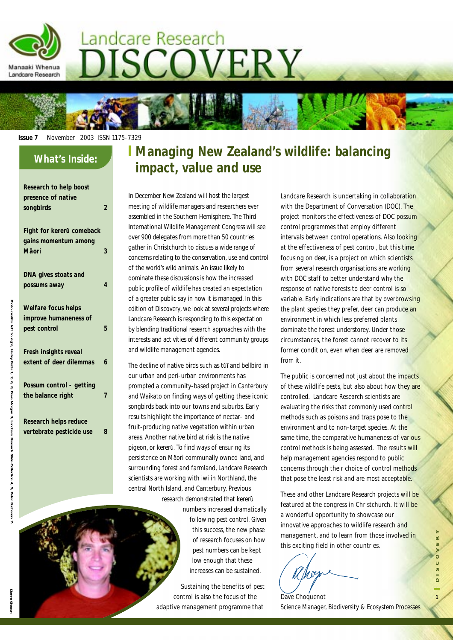

#### **Issue 7** November 2003 ISSN 1175-7329

#### **What's Inside:**

Manaaki Whenua Landcare Research

**Research to help boost** 

| וורארמו הודנה ווהוף מחמצנ |   |
|---------------------------|---|
| presence of native        |   |
| songbirds                 | 2 |
|                           |   |
| Fight for kererū comeback |   |
| gains momentum among      |   |
| Māori                     | 3 |
|                           |   |
| DNA gives stoats and      |   |
| possums away              | 4 |
|                           |   |
| Welfare focus helps       |   |
| improve humaneness of     |   |
| pest control              | 5 |
|                           |   |
| Fresh insights reveal     |   |
| extent of deer dilemmas   | 6 |
|                           |   |
| Possum control - getting  |   |
| the balance right         | 7 |
|                           |   |
| Desarah halne radua       |   |
|                           |   |

**Research helps reduce vertebrate pesticide use 8**

## **Managing New Zealand's wildlife: balancing impact, value and use**

In December New Zealand will host the largest meeting of wildlife managers and researchers ever assembled in the Southern Hemisphere. The Third International Wildlife Management Congress will see over 900 delegates from more than 50 countries gather in Christchurch to discuss a wide range of concerns relating to the conservation, use and control of the world's wild animals. An issue likely to dominate these discussions is how the increased public profile of wildlife has created an expectation of a greater public say in how it is managed. In this edition of *Discovery*, we look at several projects where Landcare Research is responding to this expectation by blending traditional research approaches with the interests and activities of different community groups and wildlife management agencies.

The decline of native birds such as tūī and bellbird in our urban and peri-urban environments has prompted a community-based project in Canterbury and Waikato on finding ways of getting these iconic songbirds back into our towns and suburbs. Early results highlight the importance of nectar- and fruit-producing native vegetation within urban areas. Another native bird at risk is the native pigeon, or kererū. To find ways of ensuring its persistence on Māori communally owned land, and surrounding forest and farmland, Landcare Research scientists are working with iwi in Northland, the central North Island, and Canterbury. Previous research demonstrated that kererū

> numbers increased dramatically following pest control. Given this success, the new phase of research focuses on how pest numbers can be kept low enough that these increases can be sustained.

Sustaining the benefits of pest control is also the focus of the adaptive management programme that

Landcare Research is undertaking in collaboration with the Department of Conversation (DOC). The project monitors the effectiveness of DOC possum control programmes that employ different intervals between control operations. Also looking at the effectiveness of pest control, but this time focusing on deer, is a project on which scientists from several research organisations are working with DOC staff to better understand why the response of native forests to deer control is so variable. Early indications are that by overbrowsing the plant species they prefer, deer can produce an environment in which less preferred plants dominate the forest understorey. Under those circumstances, the forest cannot recover to its former condition, even when deer are removed from it.

The public is concerned not just about the impacts of these wildlife pests, but also about how they are controlled. Landcare Research scientists are evaluating the risks that commonly used control methods such as poisons and traps pose to the environment and to non-target species. At the same time, the comparative humaneness of various control methods is being assessed. The results will help management agencies respond to public concerns through their choice of control methods that pose the least risk and are most acceptable.

These and other Landcare Research projects will be featured at the congress in Christchurch. It will be a wonderful opportunity to showcase our innovative approaches to wildlife research and management, and to learn from those involved in this exciting field in other countries.

Dave Choquenot Science Manager, Biodiversity & Ecosystem Processes

Photo credits: left to right, Harley Betts 1, 2, 6, 8, Dave

Morgan<sub>3</sub>,

Landcare

Research Slide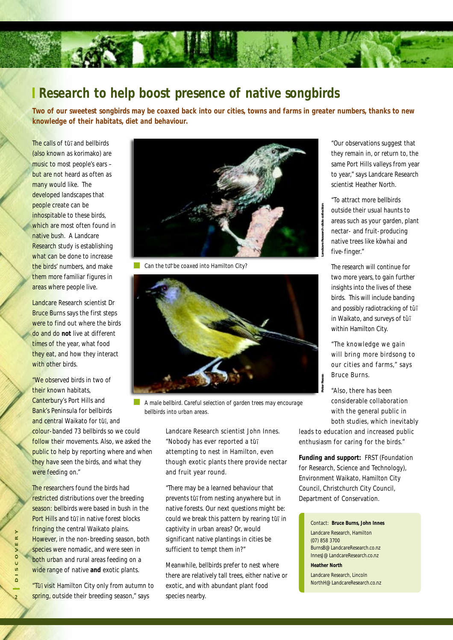### **Research to help boost presence of native songbirds**

**Two of our sweetest songbirds may be coaxed back into our cities, towns and farms in greater numbers, thanks to new knowledge of their habitats, diet and behaviour.**

The calls of tu<sub></sub> and bellbirds (also known as korimako) are music to most people's ears – but are not heard as often as many would like. The developed landscapes that people create can be inhospitable to these birds, which are most often found in native bush. A Landcare Research study is establishing what can be done to increase the birds' numbers, and make them more familiar figures in areas where people live.

Landcare Research scientist Dr Bruce Burns says the first steps were to find out where the birds do and do **not** live at different times of the year, what food they eat, and how they interact with other birds.

"We observed birds in two of their known habitats, Canterbury's Port Hills and Bank's Peninsula for bellbirds and central Waikato for tui, and colour-banded 73 bellbirds so we could follow their movements. Also, we asked the public to help by reporting where and when they have seen the birds, and what they were feeding on."

The researchers found the birds had restricted distributions over the breeding season: bellbirds were based in bush in the Port Hills and tu<sub>l</sub> in native forest blocks fringing the central Waikato plains. However, in the non-breeding season, both species were nomadic, and were seen in both urban and rural areas feeding on a wide range of native **and** exotic plants. **2** However, in the non-breeding season, both<br>species were nomadic, and were seen in<br>both urban and rural areas feeding on a<br>wide range of native and exotic plants.<br>**2 2 2 2 1 1 2 2 2 1 1 1 1 1**

"Tūī visit Hamilton City only from autumn to



*Can the tui be coaxed into Hamilton City?*



*A male bellbird. Careful selection of garden trees may encourage bellbirds into urban areas.*

Landcare Research scientist John Innes. "Nobody has ever reported a tūī attempting to nest in Hamilton, even though exotic plants there provide nectar and fruit year round.

"There may be a learned behaviour that prevents tūī from nesting anywhere but in native forests. Our next questions might be: could we break this pattern by rearing tūī in captivity in urban areas? Or, would significant native plantings in cities be sufficient to tempt them in?"

Meanwhile, bellbirds prefer to nest where there are relatively tall trees, either native or exotic, and with abundant plant food species nearby.

"Our observations suggest that they remain in, or return to, the same Port Hills valleys from year to year," says Landcare Research scientist Heather North.

"To attract more bellbirds outside their usual haunts to areas such as your garden, plant nectar- and fruit-producing native trees like kōwhai and five-finger."

The research will continue for two more years, to gain further insights into the lives of these birds. This will include banding and possibly radiotracking of tūī in Waikato, and surveys of tūī within Hamilton City.

"The knowledge we gain will bring more birdsong to our cities and farms," says Bruce Burns.

"Also, there has been considerable collaboration with the general public in both studies, which inevitably

leads to education and increased public enthusiasm for caring for the birds."

**Funding and support:** FRST (Foundation for Research, Science and Technology), Environment Waikato, Hamilton City Council, Christchurch City Council, Department of Conservation.

Contact: **Bruce Burns, John Innes** Landcare Research, Hamilton (07) 858 3700 BurnsB@LandcareResearch.co.nz InnesJ@LandcareResearch.co.nz **Heather North**

Landcare Research, Lincoln NorthH@LandcareResearch.co.nz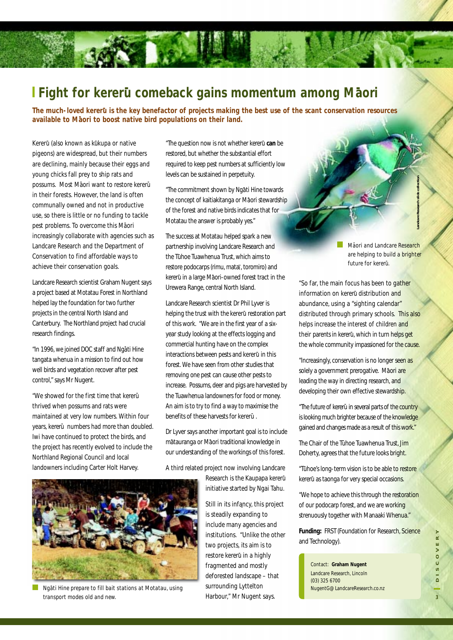# Fight for kererū comeback gains momentum among Māori

**The much-loved kereru is the key benefactor of projects making the best use of the scant conservation resources available to Maori to boost native bird populations on their land. -**

Kererū (also known as kūkupa or native pigeons) are widespread, but their numbers are declining, mainly because their eggs and young chicks fall prey to ship rats and possums. Most Māori want to restore kererūin their forests. However, the land is often communally owned and not in productive use, so there is little or no funding to tackle pest problems. To overcome this Māori increasingly collaborate with agencies such as Landcare Research and the Department of Conservation to find affordable ways to achieve their conservation goals.

Landcare Research scientist Graham Nugent says a project based at Motatau Forest in Northland helped lay the foundation for two further projects in the central North Island and Canterbury. The Northland project had crucial research findings.

"In 1996, we joined DOC staff and Ngāti Hine tangata whenua in a mission to find out how well birds and vegetation recover after pest control," says Mr Nugent.

"We showed for the first time that kererū thrived when possums and rats were maintained at very low numbers. Within four years, kererū numbers had more than doubled. Iwi have continued to protect the birds, and the project has recently evolved to include the Northland Regional Council and local landowners including Carter Holt Harvey.

"The question now is not whether kereru- **can** be restored, but whether the substantial effort required to keep pest numbers at sufficiently low levels can be sustained in perpetuity.

"The commitment shown by Ngāti Hine towards the concept of kaitiakitanga or Māori stewardship of the forest and native birds indicates that for Motatau the answer is probably yes."

The success at Motatau helped spark a new partnership involving Landcare Research and the Tühoe Tuawhenua Trust, which aims to restore podocarps (rimu, matai, toromiro) and kererū in a large Māori-owned forest tract in the Urewera Range, central North Island.

Landcare Research scientist Dr Phil Lyver is helping the trust with the kererū restoration part of this work. "We are in the first year of a sixyear study looking at the effects logging and commercial hunting have on the complex interactions between pests and kererū in this forest. We have seen from other studies that removing one pest can cause other pests to increase. Possums, deer and pigs are harvested by the Tuawhenua landowners for food or money. An aim is to try to find a way to maximise the benefits of these harvests for kererū.

Dr Lyver says another important goal is to include mātauranga or Māori traditional knowledge in our understanding of the workings of this forest.

A third related project now involving Landcare

Research is the Kaupapa kererū initiative started by Ngai Tahu.

Still in its infancy, this project is steadily expanding to include many agencies and institutions. "Unlike the other two projects, its aim is to restore kererū in a highly fragmented and mostly deforested landscape – that surrounding Lyttelton institutions. "Unlike the other<br>
two projects, its aim is to<br>
restore kererū in a highly<br>
fragmented and mostly<br>
deforested landscape – that<br>
surrounding Lyttelton<br>
Harbour," Mr Nugent says.<br>
a<br>
a<br>
a<br>
a<br>
a<br>
a<br>
a<br>
a<br>
a<br>
a<br>

*Ma-ori and Landcare Research are helping to build a brighter future for kereru- .*

**Landcare Research slide collection**

"So far, the main focus has been to gather information on kererū distribution and abundance, using a "sighting calendar" distributed through primary schools. This also helps increase the interest of children and their parents in kererū, which in turn helps get the whole community impassioned for the cause.

"Increasingly, conservation is no longer seen as solely a government prerogative. Māori are leading the way in directing research, and developing their own effective stewardship.

"The future of kererū in several parts of the country is looking much brighter because of the knowledge gained and changes made as a result of this work."

The Chair of the Tūhoe Tuawhenua Trust, Jim Doherty, agrees that the future looks bright.

"Tūhoe's long-term vision is to be able to restore kererū as taonga for very special occasions.

"We hope to achieve this through the restoration of our podocarp forest, and we are working strenuously together with Manaaki Whenua."

**Funding:** FRST (Foundation for Research, Science and Technology).

Contact: **Graham Nugent** Landcare Research, Lincoln (03) 325 6700 NugentG@LandcareResearch.co.nz



*Nga-ti Hine prepare to fill bait stations at Motatau, using transport modes old and new.*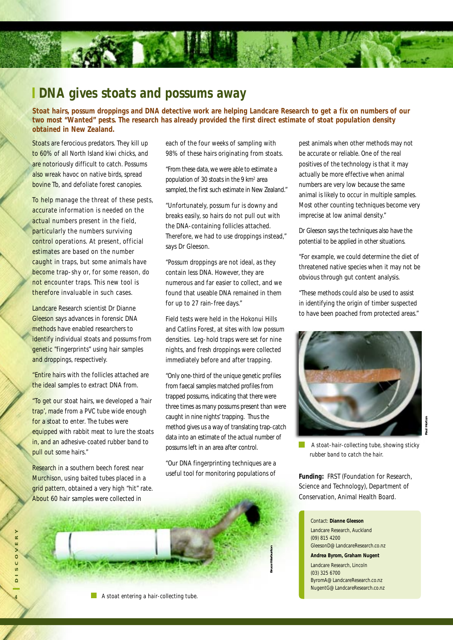#### **I DNA gives stoats and possums away**

**Stoat hairs, possum droppings and DNA detective work are helping Landcare Research to get a fix on numbers of our two most "Wanted" pests. The research has already provided the first direct estimate of stoat population density obtained in New Zealand.**

Stoats are ferocious predators. They kill up to 60% of all North Island kiwi chicks, and are notoriously difficult to catch. Possums also wreak havoc on native birds, spread bovine Tb, and defoliate forest canopies.

To help manage the threat of these pests, accurate information is needed on the actual numbers present in the field, particularly the numbers surviving control operations. At present, official estimates are based on the number caught in traps, but some animals have become trap-shy or, for some reason, do not encounter traps. This new tool is therefore invaluable in such cases.

Landcare Research scientist Dr Dianne Gleeson says advances in forensic DNA methods have enabled researchers to identify individual stoats and possums from genetic "fingerprints" using hair samples and droppings, respectively.

"Entire hairs with the follicles attached are the ideal samples to extract DNA from.

"To get our stoat hairs, we developed a 'hair trap', made from a PVC tube wide enough for a stoat to enter. The tubes were equipped with rabbit meat to lure the stoats in, and an adhesive-coated rubber band to pull out some hairs."

Research in a southern beech forest near Murchison, using baited tubes placed in a grid pattern, obtained a very high "hit" rate. each of the four weeks of sampling with 98% of these hairs originating from stoats.

"From these data, we were able to estimate a population of 30 stoats in the 9 km2 area sampled, the first such estimate in New Zealand."

"Unfortunately, possum fur is downy and breaks easily, so hairs do not pull out with the DNA-containing follicles attached. Therefore, we had to use droppings instead," says Dr Gleeson.

"Possum droppings are not ideal, as they contain less DNA. However, they are numerous and far easier to collect, and we found that useable DNA remained in them for up to 27 rain-free days."

Field tests were held in the Hokonui Hills and Catlins Forest, at sites with low possum densities. Leg-hold traps were set for nine nights, and fresh droppings were collected immediately before and after trapping.

"Only one-third of the unique genetic profiles from faecal samples matched profiles from trapped possums, indicating that there were three times as many possums present than were caught in nine nights' trapping. Thus the method gives us a way of translating trap-catch data into an estimate of the actual number of possums left in an area after control.

"Our DNA fingerprinting techniques are a useful tool for monitoring populations of



pest animals when other methods may not be accurate or reliable. One of the real positives of the technology is that it may actually be more effective when animal numbers are very low because the same animal is likely to occur in multiple samples. Most other counting techniques become very imprecise at low animal density."

Dr Gleeson says the techniques also have the potential to be applied in other situations.

"For example, we could determine the diet of threatened native species when it may not be obvious through gut content analysis.

"These methods could also be used to assist in identifying the origin of timber suspected to have been poached from protected areas."



T.  *A stoat-hair-collecting tube, showing sticky rubber band to catch the hair.*

**Funding:** FRST (Foundation for Research, Science and Technology), Department of Conservation, Animal Health Board.

Contact: **Dianne Gleeson** Landcare Research, Auckland (09) 815 4200 GleesonD@LandcareResearch.co.nz **Andrea Byrom, Graham Nugent** Landcare Research, Lincoln (03) 325 6700 ByromA@LandcareResearch.co.nz NugentG@LandcareResearch.co.nz

*A stoat entering a hair-collecting tube.*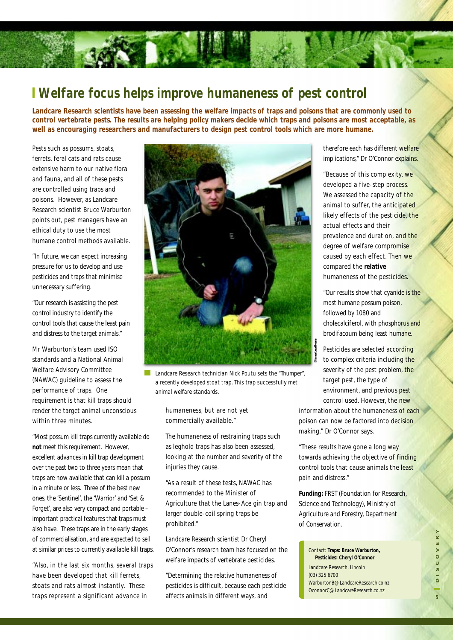### **Welfare focus helps improve humaneness of pest control**

**Landcare Research scientists have been assessing the welfare impacts of traps and poisons that are commonly used to control vertebrate pests. The results are helping policy makers decide which traps and poisons are most acceptable, as well as encouraging researchers and manufacturers to design pest control tools which are more humane.**

Pests such as possums, stoats, ferrets, feral cats and rats cause extensive harm to our native flora and fauna, and all of these pests are controlled using traps and poisons. However, as Landcare Research scientist Bruce Warburton points out, pest managers have an ethical duty to use the most humane control methods available.

"In future, we can expect increasing pressure for us to develop and use pesticides and traps that minimise unnecessary suffering.

"Our research is assisting the pest control industry to identify the control tools that cause the least pain and distress to the target animals."

Mr Warburton's team used ISO standards and a National Animal Welfare Advisory Committee (NAWAC) guideline to assess the performance of traps. One requirement is that kill traps should render the target animal unconscious within three minutes.

"Most possum kill traps currently available do **not** meet this requirement. However, excellent advances in kill trap development over the past two to three years mean that traps are now available that can kill a possum in a minute or less. Three of the best new ones, the 'Sentinel', the 'Warrior' and 'Set & Forget', are also very compact and portable – important practical features that traps must also have. These traps are in the early stages of commercialisation, and are expected to sell at similar prices to currently available kill traps.

"Also, in the last six months, several traps have been developed that kill ferrets, stoats and rats almost instantly. These traps represent a significant advance in



*Landcare Research technician Nick Poutu sets the "Thumper", a recently developed stoat trap. This trap successfully met animal welfare standards.*

humaneness, but are not yet commercially available."

The humaneness of restraining traps such as leghold traps has also been assessed, looking at the number and severity of the injuries they cause.

"As a result of these tests, NAWAC has recommended to the Minister of Agriculture that the Lanes-Ace gin trap and larger double-coil spring traps be prohibited."

Landcare Research scientist Dr Cheryl O'Connor's research team has focused on the welfare impacts of vertebrate pesticides.

"Determining the relative humaneness of pesticides is difficult, because each pesticide therefore each has different welfare implications," Dr O'Connor explains.

"Because of this complexity, we developed a five-step process. We assessed the capacity of the animal to suffer, the anticipated likely effects of the pesticide, the actual effects and their prevalence and duration, and the degree of welfare compromise caused by each effect. Then we compared the **relative** humaneness of the pesticides.

"Our results show that cyanide is the most humane possum poison, followed by 1080 and cholecalciferol, with phosphorus and brodifacoum being least humane.

Pesticides are selected according to complex criteria including the severity of the pest problem, the target pest, the type of environment, and previous pest control used. However, the new

information about the humaneness of each poison can now be factored into decision making," Dr O'Connor says.

"These results have gone a long way towards achieving the objective of finding control tools that cause animals the least pain and distress."

**Funding:** FRST (Foundation for Research, Science and Technology), Ministry of Agriculture and Forestry, Department of Conservation.

affects animals in different ways, and **<sup>5</sup>DISCOVERY** Contact: **Traps: Bruce Warburton, Pesticides: Cheryl O'Connor** Landcare Research, Lincoln (03) 325 6700 WarburtonB@LandcareResearch.co.nz OconnorC@LandcareResearch.co.nz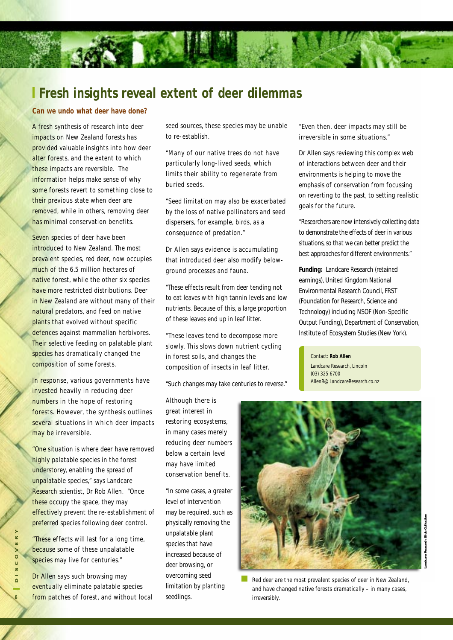#### **Fresh insights reveal extent of deer dilemmas**

#### **Can we undo what deer have done?**

A fresh synthesis of research into deer impacts on New Zealand forests has provided valuable insights into how deer alter forests, and the extent to which these impacts are reversible. The information helps make sense of why some forests revert to something close to their previous state when deer are removed, while in others, removing deer has minimal conservation benefits.

Seven species of deer have been introduced to New Zealand. The most prevalent species, red deer, now occupies much of the 6.5 million hectares of native forest, while the other six species have more restricted distributions. Deer in New Zealand are without many of their natural predators, and feed on native plants that evolved without specific defences against mammalian herbivores. Their selective feeding on palatable plant species has dramatically changed the composition of some forests.

In response, various governments have invested heavily in reducing deer numbers in the hope of restoring forests. However, the synthesis outlines several situations in which deer impacts may be irreversible.

"One situation is where deer have removed highly palatable species in the forest understorey, enabling the spread of unpalatable species," says Landcare Research scientist, Dr Rob Allen. "Once these occupy the space, they may effectively prevent the re-establishment of preferred species following deer control.

"These effects will last for a long time, because some of these unpalatable species may live for centuries."

Dr Allen says such browsing may eventually eliminate palatable species from patches of forest, and without local seed sources, these species may be unable to re-establish.

"Many of our native trees do not have particularly long-lived seeds, which limits their ability to regenerate from buried seeds.

"Seed limitation may also be exacerbated by the loss of native pollinators and seed dispersers, for example, birds, as a consequence of predation."

Dr Allen says evidence is accumulating that introduced deer also modify belowground processes and fauna.

"These effects result from deer tending not to eat leaves with high tannin levels and low nutrients. Because of this, a large proportion of these leaves end up in leaf litter.

"These leaves tend to decompose more slowly. This slows down nutrient cycling in forest soils, and changes the composition of insects in leaf litter.

"Such changes may take centuries to reverse."

Although there is great interest in restoring ecosystems, in many cases merely reducing deer numbers below a certain level may have limited conservation benefits.

"In some cases, a greater level of intervention may be required, such as physically removing the unpalatable plant species that have increased because of deer browsing, or overcoming seed limitation by planting seedlings.

"Even then, deer impacts may still be irreversible in some situations."

Dr Allen says reviewing this complex web of interactions between deer and their environments is helping to move the emphasis of conservation from focussing on reverting to the past, to setting realistic goals for the future.

"Researchers are now intensively collecting data to demonstrate the effects of deer in various situations, so that we can better predict the best approaches for different environments."

**Funding:** Landcare Research (retained earnings), United Kingdom National Environmental Research Council, FRST (Foundation for Research, Science and Technology) including NSOF (Non-Specific Output Funding), Department of Conservation, Institute of Ecosystem Studies (New York).

Contact: **Rob Allen** Landcare Research, Lincoln (03) 325 6700 AllenR@LandcareResearch.co.nz



*Red deer are the most prevalent species of deer in New Zealand, and have changed native forests dramatically – in many cases, irreversibly.*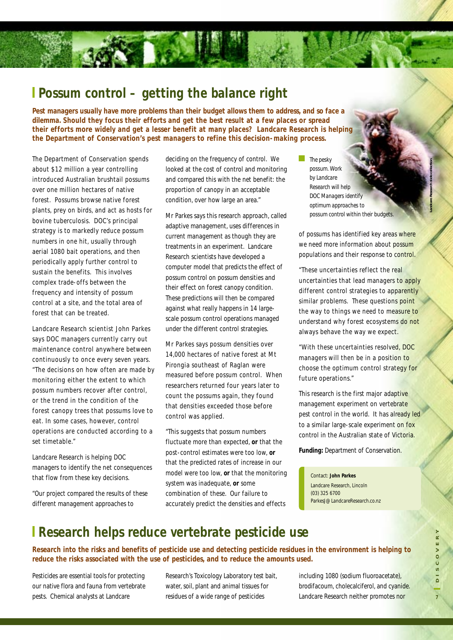#### **Possum control – getting the balance right**

**ROCKET LES** 

**Pest managers usually have more problems than their budget allows them to address, and so face a dilemma. Should they focus their efforts and get the best result at a few places or spread their efforts more widely and get a lesser benefit at many places? Landcare Research is helping the Department of Conservation's pest managers to refine this decision-making process.**

The Department of Conservation spends about \$12 million a year controlling introduced Australian brushtail possums over one million hectares of native forest. Possums browse native forest plants, prey on birds, and act as hosts for bovine tuberculosis. DOC's principal strategy is to markedly reduce possum numbers in one hit, usually through aerial 1080 bait operations, and then periodically apply further control to sustain the benefits. This involves complex trade-offs between the frequency and intensity of possum control at a site, and the total area of forest that can be treated.

Landcare Research scientist John Parkes says DOC managers currently carry out maintenance control anywhere between continuously to once every seven years. "The decisions on how often are made by monitoring either the extent to which possum numbers recover after control, or the trend in the condition of the forest canopy trees that possums love to eat. In some cases, however, control operations are conducted according to a set timetable."

Landcare Research is helping DOC managers to identify the net consequences that flow from these key decisions.

"Our project compared the results of these different management approaches to

deciding on the frequency of control. We looked at the cost of control and monitoring and compared this with the net benefit: the proportion of canopy in an acceptable condition, over how large an area."

Mr Parkes says this research approach, called adaptive management, uses differences in current management as though they are treatments in an experiment. Landcare Research scientists have developed a computer model that predicts the effect of possum control on possum densities and their effect on forest canopy condition. These predictions will then be compared against what really happens in 14 largescale possum control operations managed under the different control strategies.

Mr Parkes says possum densities over 14,000 hectares of native forest at Mt Pirongia southeast of Raglan were measured before possum control. When researchers returned four years later to count the possums again, they found that densities exceeded those before control was applied.

"This suggests that possum numbers fluctuate more than expected, **or** that the post-control estimates were too low, **or** that the predicted rates of increase in our model were too low, **or** that the monitoring system was inadequate, **or** some combination of these. Our failure to accurately predict the densities and effects

*The pesky possum. Work by Landcare Research will help DOC Managers identify optimum approaches to possum control within their budgets.*

of possums has identified key areas where we need more information about possum populations and their response to control.

"These uncertainties reflect the real uncertainties that lead managers to apply different control strategies to apparently similar problems. These questions point the way to things we need to measure to understand why forest ecosystems do not always behave the way we expect.

"With these uncertainties resolved, DOC managers will then be in a position to choose the optimum control strategy for future operations."

This research is the first major adaptive management experiment on vertebrate pest control in the world. It has already led to a similar large-scale experiment on fox control in the Australian state of Victoria.

**Funding:** Department of Conservation.

Contact: **John Parkes**

Landcare Research, Lincoln (03) 325 6700 ParkesJ@LandcareResearch.co.nz

#### **Research helps reduce vertebrate pesticide use**

**Research into the risks and benefits of pesticide use and detecting pesticide residues in the environment is helping to reduce the risks associated with the use of pesticides, and to reduce the amounts used.**

Pesticides are essential tools for protecting our native flora and fauna from vertebrate pests. Chemical analysts at Landcare

Research's Toxicology Laboratory test bait, water, soil, plant and animal tissues for residues of a wide range of pesticides

including 1080 (sodium fluoroacetate), brodifacoum, cholecalciferol, and cyanide. Landcare Research neither promotes nor

**Landcare Research slide collection**